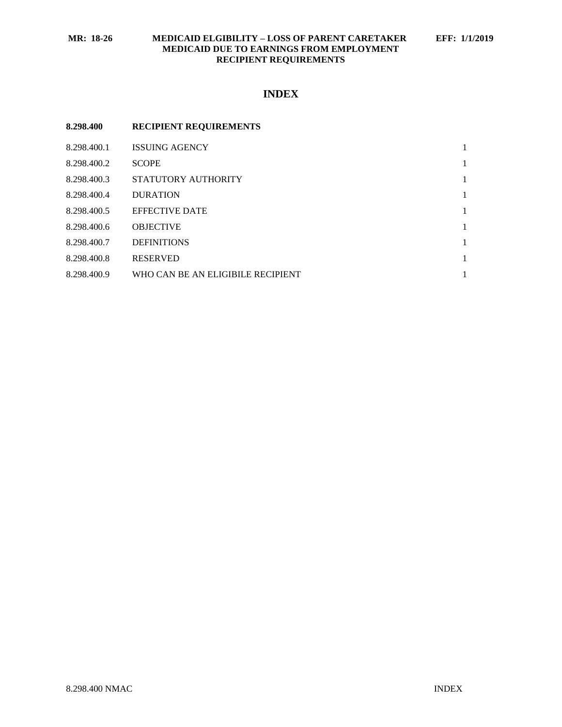### **MR: 18-26 MEDICAID ELGIBILITY – LOSS OF PARENT CARETAKER EFF: 1/1/2019 MEDICAID DUE TO EARNINGS FROM EMPLOYMENT RECIPIENT REQUIREMENTS**

# **INDEX**

| 8.298.400   | <b>RECIPIENT REQUIREMENTS</b>     |   |
|-------------|-----------------------------------|---|
| 8.298.400.1 | <b>ISSUING AGENCY</b>             | 1 |
| 8.298.400.2 | <b>SCOPE</b>                      | 1 |
| 8.298.400.3 | STATUTORY AUTHORITY               | 1 |
| 8.298.400.4 | <b>DURATION</b>                   | 1 |
| 8.298.400.5 | <b>EFFECTIVE DATE</b>             | 1 |
| 8.298.400.6 | <b>OBJECTIVE</b>                  | 1 |
| 8.298.400.7 | <b>DEFINITIONS</b>                | 1 |
| 8.298.400.8 | <b>RESERVED</b>                   | 1 |
| 8.298.400.9 | WHO CAN BE AN ELIGIBILE RECIPIENT | 1 |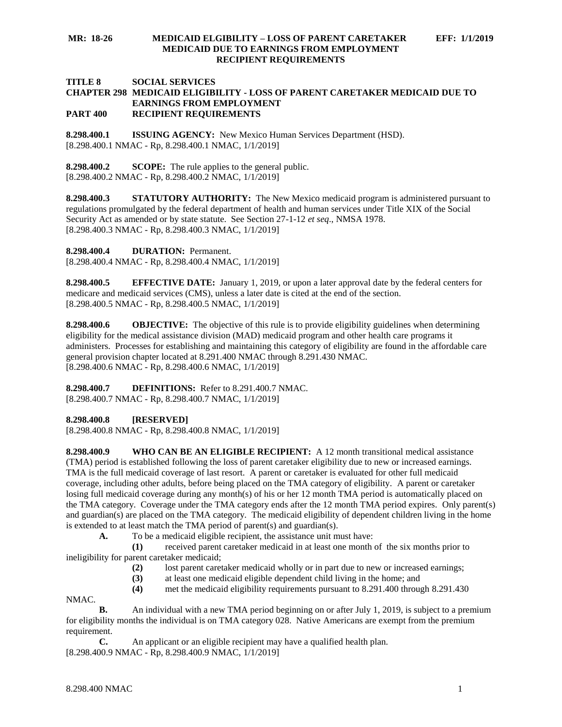#### **MR: 18-26 MEDICAID ELGIBILITY – LOSS OF PARENT CARETAKER EFF: 1/1/2019 MEDICAID DUE TO EARNINGS FROM EMPLOYMENT RECIPIENT REQUIREMENTS**

#### **TITLE 8 SOCIAL SERVICES CHAPTER 298 MEDICAID ELIGIBILITY - LOSS OF PARENT CARETAKER MEDICAID DUE TO EARNINGS FROM EMPLOYMENT PART 400 RECIPIENT REQUIREMENTS**

<span id="page-1-0"></span>**8.298.400.1 ISSUING AGENCY:** New Mexico Human Services Department (HSD). [8.298.400.1 NMAC - Rp, 8.298.400.1 NMAC, 1/1/2019]

<span id="page-1-1"></span>**8.298.400.2 SCOPE:** The rule applies to the general public. [8.298.400.2 NMAC - Rp, 8.298.400.2 NMAC, 1/1/2019]

<span id="page-1-2"></span>**8.298.400.3 STATUTORY AUTHORITY:** The New Mexico medicaid program is administered pursuant to regulations promulgated by the federal department of health and human services under Title XIX of the Social Security Act as amended or by state statute. See Section 27-1-12 *et seq*., NMSA 1978. [8.298.400.3 NMAC - Rp, 8.298.400.3 NMAC, 1/1/2019]

<span id="page-1-3"></span>**8.298.400.4 DURATION:** Permanent.

[8.298.400.4 NMAC - Rp, 8.298.400.4 NMAC, 1/1/2019]

<span id="page-1-4"></span>**8.298.400.5 EFFECTIVE DATE:** January 1, 2019, or upon a later approval date by the federal centers for medicare and medicaid services (CMS), unless a later date is cited at the end of the section. [8.298.400.5 NMAC - Rp, 8.298.400.5 NMAC, 1/1/2019]

<span id="page-1-5"></span>**8.298.400.6 OBJECTIVE:** The objective of this rule is to provide eligibility guidelines when determining eligibility for the medical assistance division (MAD) medicaid program and other health care programs it administers. Processes for establishing and maintaining this category of eligibility are found in the affordable care general provision chapter located at 8.291.400 NMAC through 8.291.430 NMAC. [8.298.400.6 NMAC - Rp, 8.298.400.6 NMAC, 1/1/2019]

<span id="page-1-6"></span>**8.298.400.7 DEFINITIONS:** Refer to 8.291.400.7 NMAC. [8.298.400.7 NMAC - Rp, 8.298.400.7 NMAC, 1/1/2019]

### <span id="page-1-7"></span>**8.298.400.8 [RESERVED]**

[8.298.400.8 NMAC - Rp, 8.298.400.8 NMAC, 1/1/2019]

<span id="page-1-8"></span>**8.298.400.9 WHO CAN BE AN ELIGIBLE RECIPIENT:** A 12 month transitional medical assistance (TMA) period is established following the loss of parent caretaker eligibility due to new or increased earnings. TMA is the full medicaid coverage of last resort. A parent or caretaker is evaluated for other full medicaid coverage, including other adults, before being placed on the TMA category of eligibility. A parent or caretaker losing full medicaid coverage during any month(s) of his or her 12 month TMA period is automatically placed on the TMA category. Coverage under the TMA category ends after the 12 month TMA period expires. Only parent(s) and guardian(s) are placed on the TMA category. The medicaid eligibility of dependent children living in the home is extended to at least match the TMA period of parent(s) and guardian(s).

**A.** To be a medicaid eligible recipient, the assistance unit must have:

**(1)** received parent caretaker medicaid in at least one month of the six months prior to ineligibility for parent caretaker medicaid;

- **(2)** lost parent caretaker medicaid wholly or in part due to new or increased earnings;
- **(3)** at least one medicaid eligible dependent child living in the home; and
- **(4)** met the medicaid eligibility requirements pursuant to 8.291.400 through 8.291.430

NMAC.

**B.** An individual with a new TMA period beginning on or after July 1, 2019, is subject to a premium for eligibility months the individual is on TMA category 028. Native Americans are exempt from the premium requirement.

**C.** An applicant or an eligible recipient may have a qualified health plan. [8.298.400.9 NMAC - Rp, 8.298.400.9 NMAC, 1/1/2019]